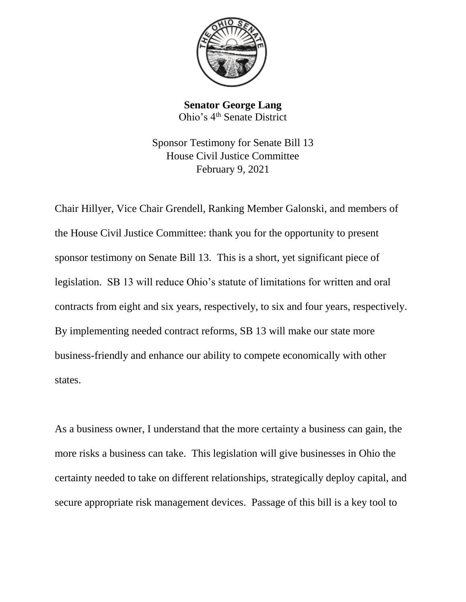

**Senator George Lang** Ohio's 4th Senate District

Sponsor Testimony for Senate Bill 13 House Civil Justice Committee February 9, 2021

Chair Hillyer, Vice Chair Grendell, Ranking Member Galonski, and members of the House Civil Justice Committee: thank you for the opportunity to present sponsor testimony on Senate Bill 13. This is a short, yet significant piece of legislation. SB 13 will reduce Ohio's statute of limitations for written and oral contracts from eight and six years, respectively, to six and four years, respectively. By implementing needed contract reforms, SB 13 will make our state more business-friendly and enhance our ability to compete economically with other states.

As a business owner, I understand that the more certainty a business can gain, the more risks a business can take. This legislation will give businesses in Ohio the certainty needed to take on different relationships, strategically deploy capital, and secure appropriate risk management devices. Passage of this bill is a key tool to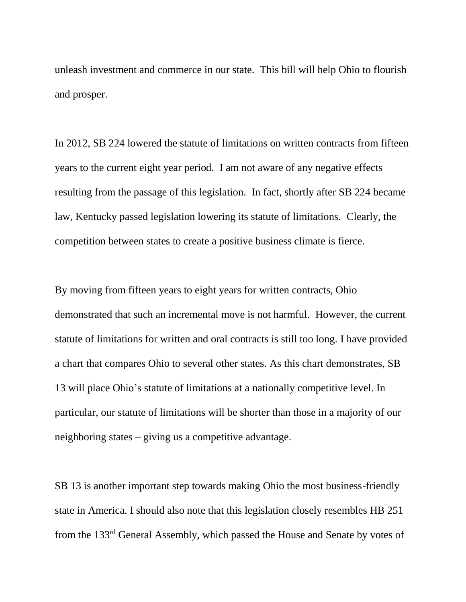unleash investment and commerce in our state. This bill will help Ohio to flourish and prosper.

In 2012, SB 224 lowered the statute of limitations on written contracts from fifteen years to the current eight year period. I am not aware of any negative effects resulting from the passage of this legislation. In fact, shortly after SB 224 became law, Kentucky passed legislation lowering its statute of limitations. Clearly, the competition between states to create a positive business climate is fierce.

By moving from fifteen years to eight years for written contracts, Ohio demonstrated that such an incremental move is not harmful. However, the current statute of limitations for written and oral contracts is still too long. I have provided a chart that compares Ohio to several other states. As this chart demonstrates, SB 13 will place Ohio's statute of limitations at a nationally competitive level. In particular, our statute of limitations will be shorter than those in a majority of our neighboring states – giving us a competitive advantage.

SB 13 is another important step towards making Ohio the most business-friendly state in America. I should also note that this legislation closely resembles HB 251 from the 133rd General Assembly, which passed the House and Senate by votes of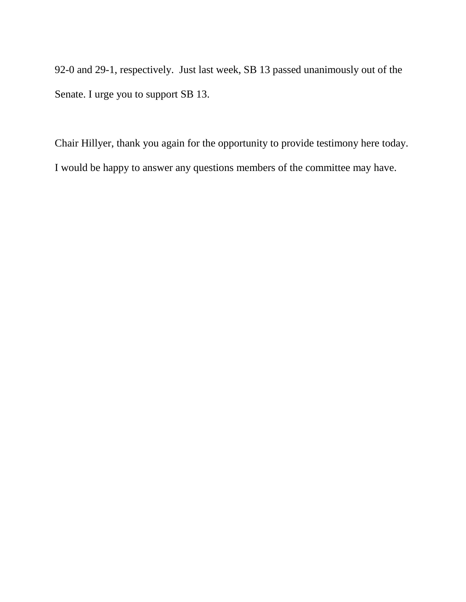92-0 and 29-1, respectively. Just last week, SB 13 passed unanimously out of the Senate. I urge you to support SB 13.

Chair Hillyer, thank you again for the opportunity to provide testimony here today. I would be happy to answer any questions members of the committee may have.